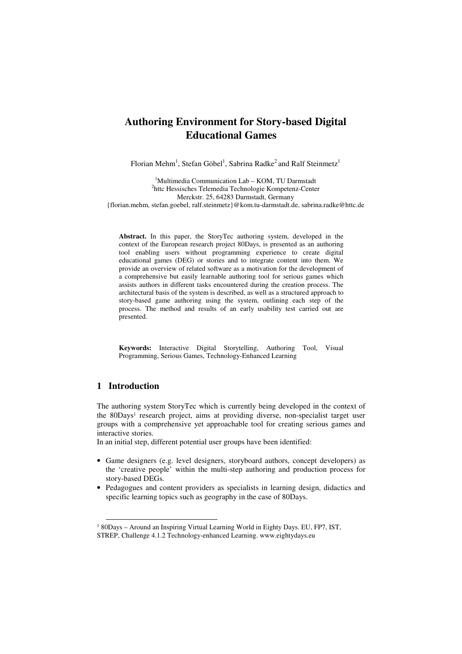# **Authoring Environment for Story-based Digital Educational Games**

Florian Mehm<sup>1</sup>, Stefan Göbel<sup>1</sup>, Sabrina Radke<sup>2</sup> and Ralf Steinmetz<sup>1</sup>

<sup>1</sup>Multimedia Communication Lab – KOM, TU Darmstadt <sup>2</sup>httc Hessisches Telemedia Technologie Kompetenz-Center Merckstr. 25, 64283 Darmstadt, Germany {florian.mehm, stefan.goebel, ralf.steinmetz}@kom.tu-darmstadt.de, sabrina.radke@httc.de

**Abstract.** In this paper, the StoryTec authoring system, developed in the context of the European research project 80Days, is presented as an authoring tool enabling users without programming experience to create digital educational games (DEG) or stories and to integrate content into them. We provide an overview of related software as a motivation for the development of a comprehensive but easily learnable authoring tool for serious games which assists authors in different tasks encountered during the creation process. The architectural basis of the system is described, as well as a structured approach to story-based game authoring using the system, outlining each step of the process. The method and results of an early usability test carried out are presented.

**Keywords:** Interactive Digital Storytelling, Authoring Tool, Visual Programming, Serious Games, Technology-Enhanced Learning

# **1 Introduction**

 $\overline{a}$ 

The authoring system StoryTec which is currently being developed in the context of the 80Days<sup>1</sup> research project, aims at providing diverse, non-specialist target user groups with a comprehensive yet approachable tool for creating serious games and interactive stories.

In an initial step, different potential user groups have been identified:

- Game designers (e.g. level designers, storyboard authors, concept developers) as the 'creative people' within the multi-step authoring and production process for story-based DEGs.
- Pedagogues and content providers as specialists in learning design, didactics and specific learning topics such as geography in the case of 80Days.

<sup>&</sup>lt;sup>1</sup> 80Days - Around an Inspiring Virtual Learning World in Eighty Days. EU, FP7, IST, STREP, Challenge 4.1.2 Technology-enhanced Learning. www.eightydays.eu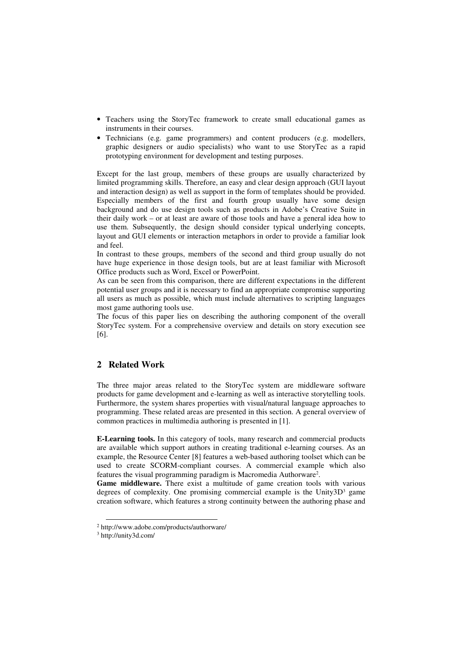- Teachers using the StoryTec framework to create small educational games as instruments in their courses.
- Technicians (e.g. game programmers) and content producers (e.g. modellers, graphic designers or audio specialists) who want to use StoryTec as a rapid prototyping environment for development and testing purposes.

Except for the last group, members of these groups are usually characterized by limited programming skills. Therefore, an easy and clear design approach (GUI layout and interaction design) as well as support in the form of templates should be provided. Especially members of the first and fourth group usually have some design background and do use design tools such as products in Adobe's Creative Suite in their daily work – or at least are aware of those tools and have a general idea how to use them. Subsequently, the design should consider typical underlying concepts, layout and GUI elements or interaction metaphors in order to provide a familiar look and feel.

In contrast to these groups, members of the second and third group usually do not have huge experience in those design tools, but are at least familiar with Microsoft Office products such as Word, Excel or PowerPoint.

As can be seen from this comparison, there are different expectations in the different potential user groups and it is necessary to find an appropriate compromise supporting all users as much as possible, which must include alternatives to scripting languages most game authoring tools use.

The focus of this paper lies on describing the authoring component of the overall StoryTec system. For a comprehensive overview and details on story execution see [6].

# **2 Related Work**

The three major areas related to the StoryTec system are middleware software products for game development and e-learning as well as interactive storytelling tools. Furthermore, the system shares properties with visual/natural language approaches to programming. These related areas are presented in this section. A general overview of common practices in multimedia authoring is presented in [1].

**E-Learning tools.** In this category of tools, many research and commercial products are available which support authors in creating traditional e-learning courses. As an example, the Resource Center [8] features a web-based authoring toolset which can be used to create SCORM-compliant courses. A commercial example which also features the visual programming paradigm is Macromedia Authorware<sup>2</sup> .

Game middleware. There exist a multitude of game creation tools with various degrees of complexity. One promising commercial example is the Unity3D<sup>3</sup> game creation software, which features a strong continuity between the authoring phase and

 $\overline{a}$ 

<sup>2</sup> http://www.adobe.com/products/authorware/

<sup>3</sup> http://unity3d.com/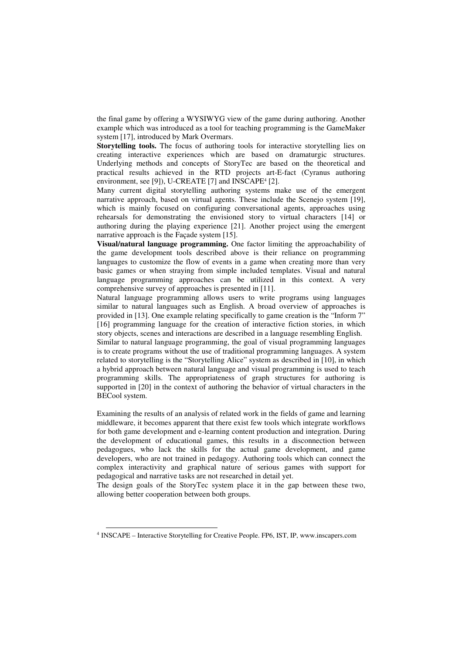the final game by offering a WYSIWYG view of the game during authoring. Another example which was introduced as a tool for teaching programming is the GameMaker system [17], introduced by Mark Overmars.

**Storytelling tools.** The focus of authoring tools for interactive storytelling lies on creating interactive experiences which are based on dramaturgic structures. Underlying methods and concepts of StoryTec are based on the theoretical and practical results achieved in the RTD projects art-E-fact (Cyranus authoring environment, see [9]), U-CREATE [7] and  $INSCAPE<sup>4</sup>$  [2].

Many current digital storytelling authoring systems make use of the emergent narrative approach, based on virtual agents. These include the Scenejo system [19], which is mainly focused on configuring conversational agents, approaches using rehearsals for demonstrating the envisioned story to virtual characters [14] or authoring during the playing experience [21]. Another project using the emergent narrative approach is the Façade system [15].

**Visual/natural language programming.** One factor limiting the approachability of the game development tools described above is their reliance on programming languages to customize the flow of events in a game when creating more than very basic games or when straying from simple included templates. Visual and natural language programming approaches can be utilized in this context. A very comprehensive survey of approaches is presented in [11].

Natural language programming allows users to write programs using languages similar to natural languages such as English. A broad overview of approaches is provided in [13]. One example relating specifically to game creation is the "Inform 7" [16] programming language for the creation of interactive fiction stories, in which story objects, scenes and interactions are described in a language resembling English.

Similar to natural language programming, the goal of visual programming languages is to create programs without the use of traditional programming languages. A system related to storytelling is the "Storytelling Alice" system as described in [10], in which a hybrid approach between natural language and visual programming is used to teach programming skills. The appropriateness of graph structures for authoring is supported in [20] in the context of authoring the behavior of virtual characters in the BECool system.

Examining the results of an analysis of related work in the fields of game and learning middleware, it becomes apparent that there exist few tools which integrate workflows for both game development and e-learning content production and integration. During the development of educational games, this results in a disconnection between pedagogues, who lack the skills for the actual game development, and game developers, who are not trained in pedagogy. Authoring tools which can connect the complex interactivity and graphical nature of serious games with support for pedagogical and narrative tasks are not researched in detail yet.

The design goals of the StoryTec system place it in the gap between these two, allowing better cooperation between both groups.

 $\overline{a}$ 

<sup>4</sup> INSCAPE – Interactive Storytelling for Creative People. FP6, IST, IP, www.inscapers.com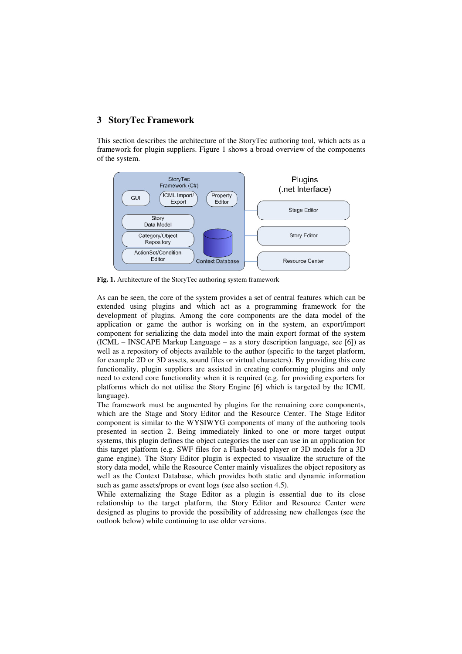## **3 StoryTec Framework**

This section describes the architecture of the StoryTec authoring tool, which acts as a framework for plugin suppliers. Figure 1 shows a broad overview of the components of the system.



**Fig. 1.** Architecture of the StoryTec authoring system framework

As can be seen, the core of the system provides a set of central features which can be extended using plugins and which act as a programming framework for the development of plugins. Among the core components are the data model of the application or game the author is working on in the system, an export/import component for serializing the data model into the main export format of the system (ICML – INSCAPE Markup Language – as a story description language, see [6]) as well as a repository of objects available to the author (specific to the target platform, for example 2D or 3D assets, sound files or virtual characters). By providing this core functionality, plugin suppliers are assisted in creating conforming plugins and only need to extend core functionality when it is required (e.g. for providing exporters for platforms which do not utilise the Story Engine [6] which is targeted by the ICML language).

The framework must be augmented by plugins for the remaining core components, which are the Stage and Story Editor and the Resource Center. The Stage Editor component is similar to the WYSIWYG components of many of the authoring tools presented in section 2. Being immediately linked to one or more target output systems, this plugin defines the object categories the user can use in an application for this target platform (e.g. SWF files for a Flash-based player or 3D models for a 3D game engine). The Story Editor plugin is expected to visualize the structure of the story data model, while the Resource Center mainly visualizes the object repository as well as the Context Database, which provides both static and dynamic information such as game assets/props or event logs (see also section 4.5).

While externalizing the Stage Editor as a plugin is essential due to its close relationship to the target platform, the Story Editor and Resource Center were designed as plugins to provide the possibility of addressing new challenges (see the outlook below) while continuing to use older versions.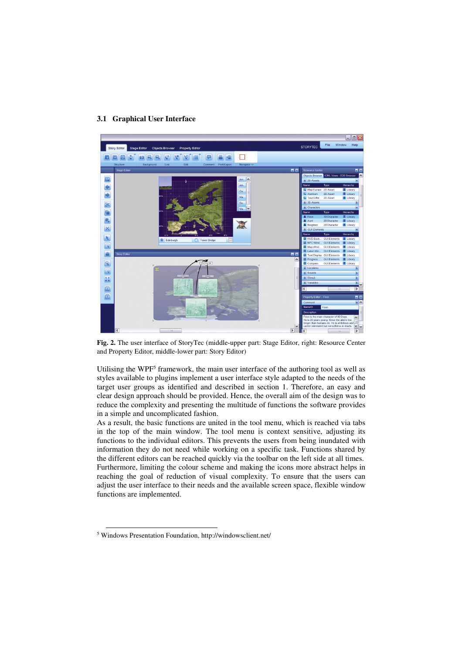#### **3.1 Graphical User Interface**



**Fig. 2.** The user interface of StoryTec (middle-upper part: Stage Editor, right: Resource Center and Property Editor, middle-lower part: Story Editor)

Utilising the WPF<sup>5</sup> framework, the main user interface of the authoring tool as well as styles available to plugins implement a user interface style adapted to the needs of the target user groups as identified and described in section 1. Therefore, an easy and clear design approach should be provided. Hence, the overall aim of the design was to reduce the complexity and presenting the multitude of functions the software provides in a simple and uncomplicated fashion.

As a result, the basic functions are united in the tool menu, which is reached via tabs in the top of the main window. The tool menu is context sensitive, adjusting its functions to the individual editors. This prevents the users from being inundated with information they do not need while working on a specific task. Functions shared by the different editors can be reached quickly via the toolbar on the left side at all times. Furthermore, limiting the colour scheme and making the icons more abstract helps in reaching the goal of reduction of visual complexity. To ensure that the users can adjust the user interface to their needs and the available screen space, flexible window functions are implemented.

 $\overline{a}$ 

<sup>5</sup> Windows Presentation Foundation, http://windowsclient.net/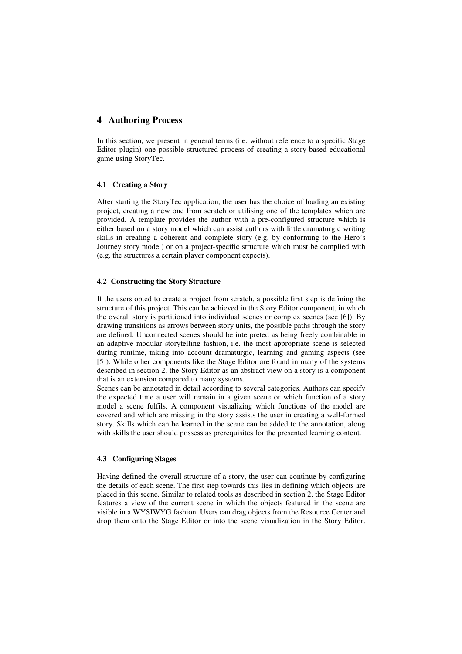# **4 Authoring Process**

In this section, we present in general terms (i.e. without reference to a specific Stage Editor plugin) one possible structured process of creating a story-based educational game using StoryTec.

#### **4.1 Creating a Story**

After starting the StoryTec application, the user has the choice of loading an existing project, creating a new one from scratch or utilising one of the templates which are provided. A template provides the author with a pre-configured structure which is either based on a story model which can assist authors with little dramaturgic writing skills in creating a coherent and complete story (e.g. by conforming to the Hero's Journey story model) or on a project-specific structure which must be complied with (e.g. the structures a certain player component expects).

#### **4.2 Constructing the Story Structure**

If the users opted to create a project from scratch, a possible first step is defining the structure of this project. This can be achieved in the Story Editor component, in which the overall story is partitioned into individual scenes or complex scenes (see [6]). By drawing transitions as arrows between story units, the possible paths through the story are defined. Unconnected scenes should be interpreted as being freely combinable in an adaptive modular storytelling fashion, i.e. the most appropriate scene is selected during runtime, taking into account dramaturgic, learning and gaming aspects (see [5]). While other components like the Stage Editor are found in many of the systems described in section 2, the Story Editor as an abstract view on a story is a component that is an extension compared to many systems.

Scenes can be annotated in detail according to several categories. Authors can specify the expected time a user will remain in a given scene or which function of a story model a scene fulfils. A component visualizing which functions of the model are covered and which are missing in the story assists the user in creating a well-formed story. Skills which can be learned in the scene can be added to the annotation, along with skills the user should possess as prerequisites for the presented learning content.

#### **4.3 Configuring Stages**

Having defined the overall structure of a story, the user can continue by configuring the details of each scene. The first step towards this lies in defining which objects are placed in this scene. Similar to related tools as described in section 2, the Stage Editor features a view of the current scene in which the objects featured in the scene are visible in a WYSIWYG fashion. Users can drag objects from the Resource Center and drop them onto the Stage Editor or into the scene visualization in the Story Editor.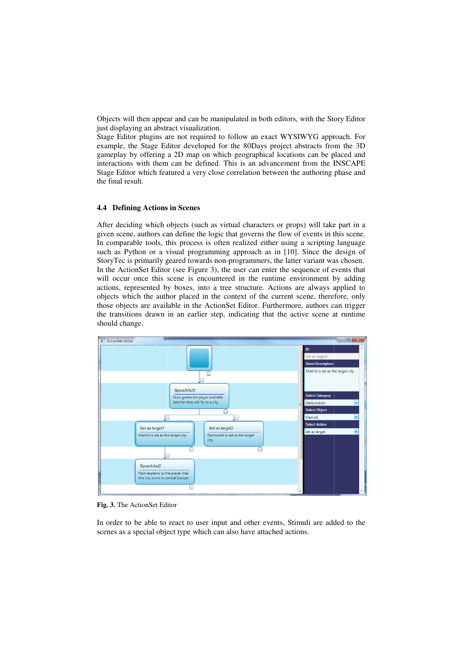Objects will then appear appear and can be manipulated in both editors, with the Story Editor just displaying an abstract visualization.

Stage Editor plugins are not required to follow an exact WYSIWYG approach. For example, the Stage Editor developed for the 80Days project abstracts from the 3D gameplay by offering a 2D map on which geographical locations can be plac interactions with them can be defined. This is an advancement from the INSCAPE Stage Editor which featured a very close correlation between the authoring phase and the final result. bstract visualization.<br>
In are not required to follow an exact WYSIWYG approach. For<br>
Felitor developed for the 80Days project abstracts from the 3D<br>
Ing a 2D map on which geographical locations can be placed and<br>
Inem can

### **4.4 Defining Actions in Scenes**

After deciding which objects (such as virtual characters or props) will take part in a given scene, authors can define the logic that governs the flow of events in this scene. In comparable tools, this process is often realized either using a scripting language such as Python or a visual programming approach as in [10]. Since the design of StoryTec is primarily geared towards non-programmers, the latter variant was chosen. StoryTec is primarily geared towards non-programmers, the latter variant was chosen.<br>In the ActionSet Editor (see Figure 3), the user can enter the sequence of events that will occur once this scene is encountered in the runtime environment by adding actions, represented by boxes, into a tree structure. Actions are always applied to actions, represented by boxes, into a tree structure. Actions are always applied to objects which the author placed in the context of the current scene, therefore, only those objects are available in the ActionSet Editor. Furthermore, authors can trigger the transitions drawn in an earlier step, indicating that the active scene at runtime should change. cts will then appear and can be manipulated in both editors, with the Story Editor<br>isplaying an abstract visualization.<br>Elistipaying an abstract sivalization.<br>Elistipaying an abstract sivalization.<br>For ple, the Stage Edito



**Fig. 3.** The ActionSet Editor

In order to be able to react to user input and other events, Stimuli are added to the scenes as a special object type which can also have attached actions.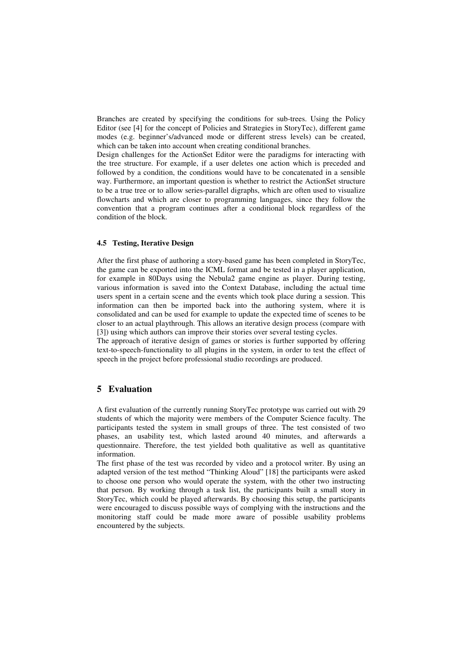Branches are created by specifying the conditions for sub-trees. Using the Policy Editor (see [4] for the concept of Policies and Strategies in StoryTec), different game modes (e.g. beginner's/advanced mode or different stress levels) can be created, which can be taken into account when creating conditional branches.

Design challenges for the ActionSet Editor were the paradigms for interacting with the tree structure. For example, if a user deletes one action which is preceded and followed by a condition, the conditions would have to be concatenated in a sensible way. Furthermore, an important question is whether to restrict the ActionSet structure to be a true tree or to allow series-parallel digraphs, which are often used to visualize flowcharts and which are closer to programming languages, since they follow the convention that a program continues after a conditional block regardless of the condition of the block.

### **4.5 Testing, Iterative Design**

After the first phase of authoring a story-based game has been completed in StoryTec, the game can be exported into the ICML format and be tested in a player application, for example in 80Days using the Nebula2 game engine as player. During testing, various information is saved into the Context Database, including the actual time users spent in a certain scene and the events which took place during a session. This information can then be imported back into the authoring system, where it is consolidated and can be used for example to update the expected time of scenes to be closer to an actual playthrough. This allows an iterative design process (compare with [3]) using which authors can improve their stories over several testing cycles.

The approach of iterative design of games or stories is further supported by offering text-to-speech-functionality to all plugins in the system, in order to test the effect of speech in the project before professional studio recordings are produced.

# **5 Evaluation**

A first evaluation of the currently running StoryTec prototype was carried out with 29 students of which the majority were members of the Computer Science faculty. The participants tested the system in small groups of three. The test consisted of two phases, an usability test, which lasted around 40 minutes, and afterwards a questionnaire. Therefore, the test yielded both qualitative as well as quantitative information.

The first phase of the test was recorded by video and a protocol writer. By using an adapted version of the test method "Thinking Aloud" [18] the participants were asked to choose one person who would operate the system, with the other two instructing that person. By working through a task list, the participants built a small story in StoryTec, which could be played afterwards. By choosing this setup, the participants were encouraged to discuss possible ways of complying with the instructions and the monitoring staff could be made more aware of possible usability problems encountered by the subjects.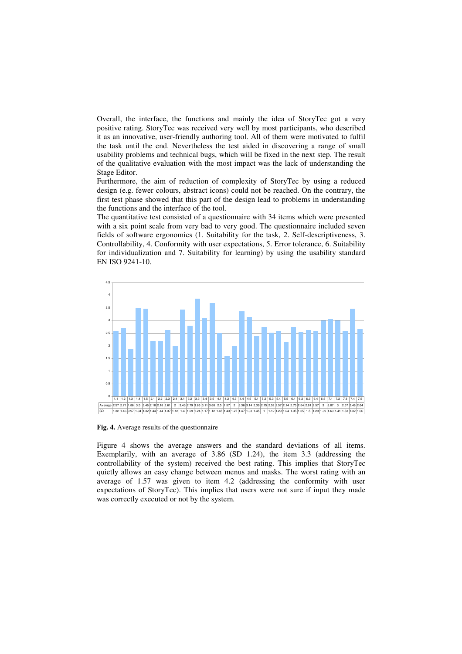Overall, the interface, the functions and mainly the idea of StoryTec got a very positive rating. StoryTec was received very well by most participants, who described it as an innovative, user-friendly authoring tool. All of them were motivated to fulfil the task until the end. Nevertheless the test aided in discovering a range of small usability problems and technical bugs, which will be fixed in the next step. The result of the qualitative evaluation with the most impact was the lack of understanding the Stage Editor.

Furthermore, the aim of reduction of complexity of StoryTec by using a reduced design (e.g. fewer colours, abstract icons) could not be reached. On the contrary, the first test phase showed that this part of the design lead to problems in understanding the functions and the interface of the tool.

The quantitative test consisted of a questionnaire with 34 items which were presented with a six point scale from very bad to very good. The questionnaire included seven fields of software ergonomics (1. Suitability for the task, 2. Self-descriptiveness, 3. Controllability, 4. Conformity with user expectations, 5. Error tolerance, 6. Suitability for individualization and 7. Suitability for learning) by using the usability standard EN ISO 9241-10.



**Fig. 4.** Average results of the questionnaire

Figure 4 shows the average answers and the standard deviations of all items. Exemplarily, with an average of 3.86 (SD 1.24), the item 3.3 (addressing the controllability of the system) received the best rating. This implies that StoryTec quietly allows an easy change between menus and masks. The worst rating with an average of 1.57 was given to item 4.2 (addressing the conformity with user expectations of StoryTec). This implies that users were not sure if input they made was correctly executed or not by the system.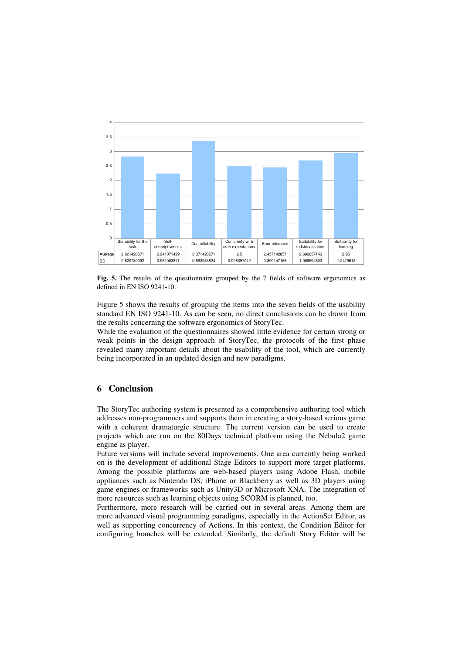

**Fig. 5.** The results of the questionnaire grouped by the 7 fields of software ergonomics as defined in EN ISO 9241-10.

Figure 5 shows the results of grouping the items into the seven fields of the usability standard EN ISO 9241-10. As can be seen, no direct conclusions can be drawn from the results concerning the software ergonomics of StoryTec.

While the evaluation of the questionnaires showed little evidence for certain strong or weak points in the design approach of StoryTec, the protocols of the first phase revealed many important details about the usability of the tool, which are currently being incorporated in an updated design and new paradigms.

# **6 Conclusion**

The StoryTec authoring system is presented as a comprehensive authoring tool which addresses non-programmers and supports them in creating a story-based serious game with a coherent dramaturgic structure. The current version can be used to create projects which are run on the 80Days technical platform using the Nebula2 game engine as player.

Future versions will include several improvements. One area currently being worked on is the development of additional Stage Editors to support more target platforms. Among the possible platforms are web-based players using Adobe Flash, mobile appliances such as Nintendo DS, iPhone or Blackberry as well as 3D players using game engines or frameworks such as Unity3D or Microsoft XNA. The integration of more resources such as learning objects using SCORM is planned, too.

Furthermore, more research will be carried out in several areas. Among them are more advanced visual programming paradigms, especially in the ActionSet Editor, as well as supporting concurrency of Actions. In this context, the Condition Editor for configuring branches will be extended. Similarly, the default Story Editor will be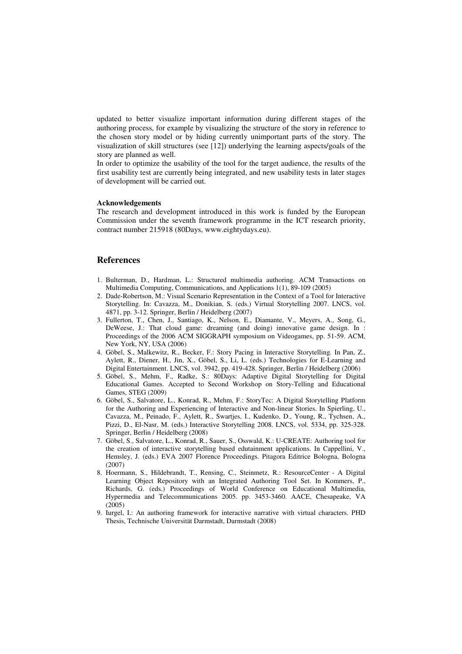updated to better visualize important information during different stages of the authoring process, for example by visualizing the structure of the story in reference to the chosen story model or by hiding currently unimportant parts of the story. The visualization of skill structures (see [12]) underlying the learning aspects/goals of the story are planned as well.

In order to optimize the usability of the tool for the target audience, the results of the first usability test are currently being integrated, and new usability tests in later stages of development will be carried out.

#### **Acknowledgements**

The research and development introduced in this work is funded by the European Commission under the seventh framework programme in the ICT research priority, contract number 215918 (80Days, www.eightydays.eu).

# **References**

- 1. Bulterman, D., Hardman, L.: Structured multimedia authoring. ACM Transactions on Multimedia Computing, Communications, and Applications 1(1), 89-109 (2005)
- 2. Dade-Robertson, M.: Visual Scenario Representation in the Context of a Tool for Interactive Storytelling. In: Cavazza, M., Donikian, S. (eds.) Virtual Storytelling 2007. LNCS, vol. 4871, pp. 3-12. Springer, Berlin / Heidelberg (2007)
- 3. Fullerton, T., Chen, J., Santiago, K., Nelson, E., Diamante, V., Meyers, A., Song, G., DeWeese, J.: That cloud game: dreaming (and doing) innovative game design. In : Proceedings of the 2006 ACM SIGGRAPH symposium on Videogames, pp. 51-59. ACM, New York, NY, USA (2006)
- 4. Göbel, S., Malkewitz, R., Becker, F.: Story Pacing in Interactive Storytelling. In Pan, Z., Aylett, R., Diener, H., Jin, X., Göbel, S., Li, L. (eds.) Technologies for E-Learning and Digital Entertainment. LNCS, vol. 3942, pp. 419-428. Springer, Berlin / Heidelberg (2006)
- 5. Göbel, S., Mehm, F., Radke, S.: 80Days: Adaptive Digital Storytelling for Digital Educational Games. Accepted to Second Workshop on Story-Telling and Educational Games, STEG (2009)
- 6. Göbel, S., Salvatore, L., Konrad, R., Mehm, F.: StoryTec: A Digital Storytelling Platform for the Authoring and Experiencing of Interactive and Non-linear Stories. In Spierling, U., Cavazza, M., Peinado, F., Aylett, R., Swartjes, I., Kudenko, D., Young, R., Tychsen, A., Pizzi, D., El-Nasr, M. (eds.) Interactive Storytelling 2008. LNCS, vol. 5334, pp. 325-328. Springer, Berlin / Heidelberg (2008)
- 7. Göbel, S., Salvatore, L., Konrad, R., Sauer, S., Osswald, K.: U-CREATE: Authoring tool for the creation of interactive storytelling based edutainment applications. In Cappellini, V., Hemsley, J. (eds.) EVA 2007 Florence Proceedings. Pitagora Editrice Bologna, Bologna (2007)
- 8. Hoermann, S., Hildebrandt, T., Rensing, C., Steinmetz, R.: ResourceCenter A Digital Learning Object Repository with an Integrated Authoring Tool Set. In Kommers, P., Richards, G. (eds.) Proceedings of World Conference on Educational Multimedia, Hypermedia and Telecommunications 2005. pp. 3453-3460. AACE, Chesapeake, VA (2005)
- 9. Iurgel, I.: An authoring framework for interactive narrative with virtual characters. PHD Thesis, Technische Universität Darmstadt, Darmstadt (2008)